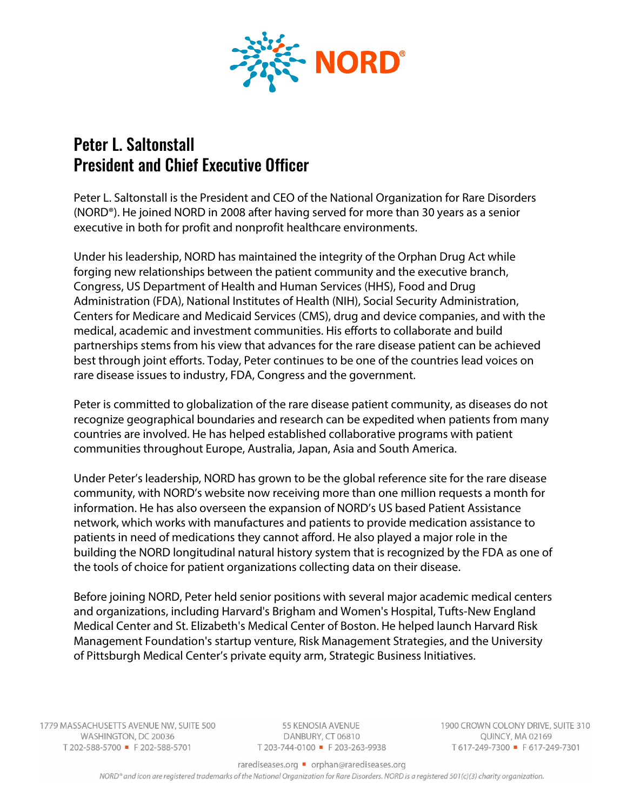

## Peter L. Saltonstall President and Chief Executive Officer

Peter L. Saltonstall is the President and CEO of the National Organization for Rare Disorders (NORD®). He joined NORD in 2008 after having served for more than 30 years as a senior executive in both for profit and nonprofit healthcare environments.

Under his leadership, NORD has maintained the integrity of the Orphan Drug Act while forging new relationships between the patient community and the executive branch, Congress, US Department of Health and Human Services (HHS), Food and Drug Administration (FDA), National Institutes of Health (NIH), Social Security Administration, Centers for Medicare and Medicaid Services (CMS), drug and device companies, and with the medical, academic and investment communities. His efforts to collaborate and build partnerships stems from his view that advances for the rare disease patient can be achieved best through joint efforts. Today, Peter continues to be one of the countries lead voices on rare disease issues to industry, FDA, Congress and the government.

Peter is committed to globalization of the rare disease patient community, as diseases do not recognize geographical boundaries and research can be expedited when patients from many countries are involved. He has helped established collaborative programs with patient communities throughout Europe, Australia, Japan, Asia and South America.

Under Peter's leadership, NORD has grown to be the global reference site for the rare disease community, with NORD's website now receiving more than one million requests a month for information. He has also overseen the expansion of NORD's US based Patient Assistance network, which works with manufactures and patients to provide medication assistance to patients in need of medications they cannot afford. He also played a major role in the building the NORD longitudinal natural history system that is recognized by the FDA as one of the tools of choice for patient organizations collecting data on their disease.

Before joining NORD, Peter held senior positions with several major academic medical centers and organizations, including Harvard's Brigham and Women's Hospital, Tufts-New England Medical Center and St. Elizabeth's Medical Center of Boston. He helped launch Harvard Risk Management Foundation's startup venture, Risk Management Strategies, and the University of Pittsburgh Medical Center's private equity arm, Strategic Business Initiatives.

1779 MASSACHUSETTS AVENUE NW, SUITE 500 WASHINGTON, DC 20036 T 202-588-5700 F 202-588-5701

55 KENOSIA AVENUE DANBURY, CT 06810 T 203-744-0100 F 203-263-9938 1900 CROWN COLONY DRIVE, SUITE 310 QUINCY, MA 02169 T617-249-7300 F617-249-7301

rarediseases.org • orphan@rarediseases.org

NORD® and icon are registered trademarks of the National Organization for Rare Disorders. NORD is a registered 501(c)(3) charity organization.